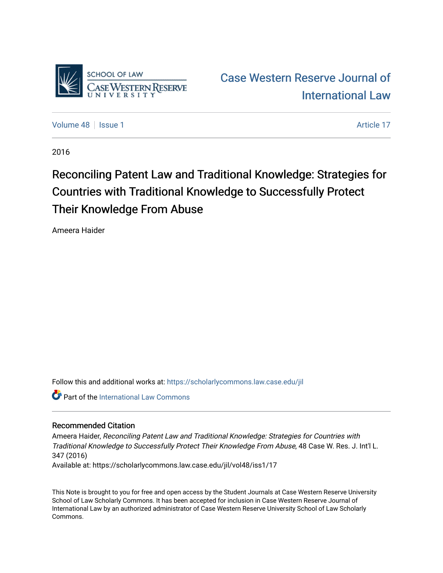

[Case Western Reserve Journal of](https://scholarlycommons.law.case.edu/jil)  [International Law](https://scholarlycommons.law.case.edu/jil) 

[Volume 48](https://scholarlycommons.law.case.edu/jil/vol48) | [Issue 1](https://scholarlycommons.law.case.edu/jil/vol48/iss1) Article 17

2016

# Reconciling Patent Law and Traditional Knowledge: Strategies for Countries with Traditional Knowledge to Successfully Protect Their Knowledge From Abuse

Ameera Haider

Follow this and additional works at: [https://scholarlycommons.law.case.edu/jil](https://scholarlycommons.law.case.edu/jil?utm_source=scholarlycommons.law.case.edu%2Fjil%2Fvol48%2Fiss1%2F17&utm_medium=PDF&utm_campaign=PDFCoverPages) 

**Part of the International Law Commons** 

## Recommended Citation

Ameera Haider, Reconciling Patent Law and Traditional Knowledge: Strategies for Countries with Traditional Knowledge to Successfully Protect Their Knowledge From Abuse, 48 Case W. Res. J. Int'l L. 347 (2016) Available at: https://scholarlycommons.law.case.edu/jil/vol48/iss1/17

This Note is brought to you for free and open access by the Student Journals at Case Western Reserve University School of Law Scholarly Commons. It has been accepted for inclusion in Case Western Reserve Journal of International Law by an authorized administrator of Case Western Reserve University School of Law Scholarly Commons.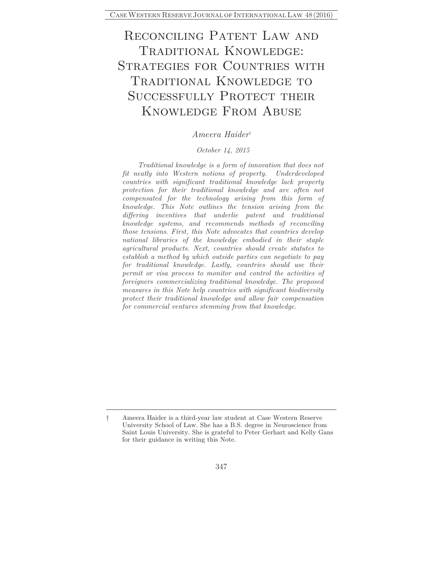## Reconciling Patent Law and Traditional Knowledge: Strategies for Countries with TRADITIONAL KNOWLEDGE TO SUCCESSFULLY PROTECT THEIR Knowledge From Abuse

## *Ameera Haider†*

#### *October 14, 2015*

*Traditional knowledge is a form of innovation that does not fit neatly into Western notions of property. Underdeveloped countries with significant traditional knowledge lack property protection for their traditional knowledge and are often not compensated for the technology arising from this form of knowledge. This Note outlines the tension arising from the differing incentives that underlie patent and traditional knowledge systems, and recommends methods of reconciling those tensions. First, this Note advocates that countries develop national libraries of the knowledge embodied in their staple agricultural products. Next, countries should create statutes to establish a method by which outside parties can negotiate to pay for traditional knowledge. Lastly, countries should use their permit or visa process to monitor and control the activities of foreigners commercializing traditional knowledge. The proposed measures in this Note help countries with significant biodiversity protect their traditional knowledge and allow fair compensation for commercial ventures stemming from that knowledge.* 

<sup>†</sup> Ameera Haider is a third-year law student at Case Western Reserve University School of Law. She has a B.S. degree in Neuroscience from Saint Louis University. She is grateful to Peter Gerhart and Kelly Gans for their guidance in writing this Note.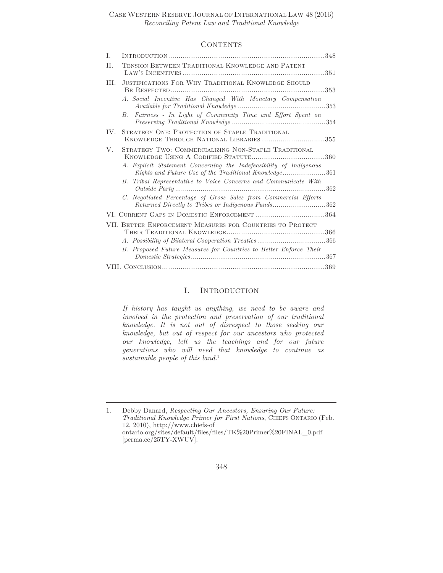## CONTENTS

| T.   |                                                                                                                             |
|------|-----------------------------------------------------------------------------------------------------------------------------|
| H.   | TENSION BETWEEN TRADITIONAL KNOWLEDGE AND PATENT                                                                            |
| III. | JUSTIFICATIONS FOR WHY TRADITIONAL KNOWLEDGE SHOULD                                                                         |
|      | A. Social Incentive Has Changed With Monetary Compensation                                                                  |
|      | Fairness - In Light of Community Time and Effort Spent on<br>В.                                                             |
| IV.  | STRATEGY ONE: PROTECTION OF STAPLE TRADITIONAL<br>KNOWLEDGE THROUGH NATIONAL LIBRARIES 355                                  |
| V.   | STRATEGY TWO: COMMERCIALIZING NON-STAPLE TRADITIONAL                                                                        |
|      | A. Explicit Statement Concerning the Indefeasibility of Indigenous<br>Rights and Future Use of the Traditional Knowledge361 |
|      | B. Tribal Representative to Voice Concerns and Communicate With<br>$Outside$ $Party$                                        |
|      | C. Negotiated Percentage of Gross Sales from Commercial Efforts<br>Returned Directly to Tribes or Indigenous Funds362       |
|      | VI. CURRENT GAPS IN DOMESTIC ENFORCEMENT 364                                                                                |
|      | VII. BETTER ENFORCEMENT MEASURES FOR COUNTRIES TO PROTECT                                                                   |
|      |                                                                                                                             |
|      | B. Proposed Future Measures for Countries to Better Enforce Their                                                           |
|      |                                                                                                                             |

#### I. INTRODUCTION

*If history has taught us anything, we need to be aware and involved in the protection and preservation of our traditional knowledge. It is not out of disrespect to those seeking our knowledge, but out of respect for our ancestors who protected our knowledge, left us the teachings and for our future generations who will need that knowledge to continue as sustainable people of this land.*<sup>1</sup>

1. Debby Danard, *Respecting Our Ancestors, Ensuring Our Future: Traditional Knowledge Primer for First Nations*, CHIEFS ONTARIO (Feb. 12, 2010), http://www.chiefs-of ontario.org/sites/default/files/files/TK%20Primer%20FINAL\_0.pdf [perma.cc/25TY-XWUV].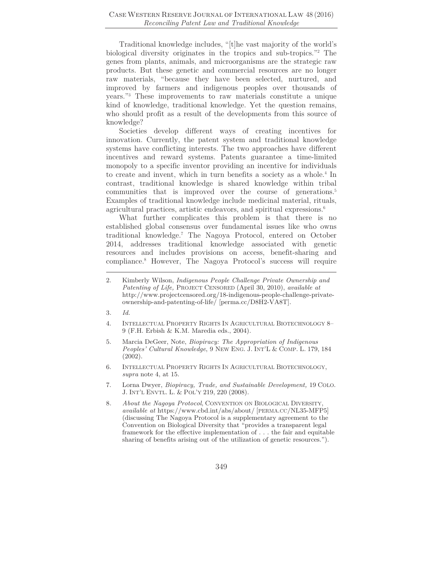Traditional knowledge includes, "[t]he vast majority of the world's biological diversity originates in the tropics and sub-tropics."2 The genes from plants, animals, and microorganisms are the strategic raw products. But these genetic and commercial resources are no longer raw materials, "because they have been selected, nurtured, and improved by farmers and indigenous peoples over thousands of years."3 These improvements to raw materials constitute a unique kind of knowledge, traditional knowledge. Yet the question remains, who should profit as a result of the developments from this source of knowledge?

Societies develop different ways of creating incentives for innovation. Currently, the patent system and traditional knowledge systems have conflicting interests. The two approaches have different incentives and reward systems. Patents guarantee a time-limited monopoly to a specific inventor providing an incentive for individuals to create and invent, which in turn benefits a society as a whole.<sup>4</sup> In contrast, traditional knowledge is shared knowledge within tribal communities that is improved over the course of generations.<sup>5</sup> Examples of traditional knowledge include medicinal material, rituals, agricultural practices, artistic endeavors, and spiritual expressions.<sup>6</sup>

What further complicates this problem is that there is no established global consensus over fundamental issues like who owns traditional knowledge.7 The Nagoya Protocol, entered on October 2014, addresses traditional knowledge associated with genetic resources and includes provisions on access, benefit-sharing and compliance.8 However, The Nagoya Protocol's success will require

- 3*. Id.*
- 4. INTELLECTUAL PROPERTY RIGHTS IN AGRICULTURAL BIOTECHNOLOGY 8– 9 (F.H. Erbish & K.M. Maredia eds., 2004).
- 5. Marcia DeGeer, Note, *Biopiracy: The Appropriation of Indigenous Peoples' Cultural Knowledge*, 9 NEW ENG. J. INT'L & COMP. L. 179, 184 (2002).
- 6. INTELLECTUAL PROPERTY RIGHTS IN AGRICULTURAL BIOTECHNOLOGY, *supra* note 4, at 15.
- 7. Lorna Dwyer, *Biopiracy, Trade, and Sustainable Development,* 19 COLO. J. INT'L ENVTL. L. & POL'Y 219, 220 (2008).
- 8*. About the Nagoya Protocol*, CONVENTION ON BIOLOGICAL DIVERSITY, *available at* https://www.cbd.int/abs/about/ [PERMA.CC/NL35-MFP5] (discussing The Nagoya Protocol is a supplementary agreement to the Convention on Biological Diversity that "provides a transparent legal framework for the effective implementation of . . . the fair and equitable sharing of benefits arising out of the utilization of genetic resources.").

<sup>2.</sup> Kimberly Wilson, *Indigenous People Challenge Private Ownership and Patenting of Life,* PROJECT CENSORED (April 30, 2010), *available at*  http://www.projectcensored.org/18-indigenous-people-challenge-privateownership-and-patenting-of-life/ [perma.cc/D8H2-VA8T].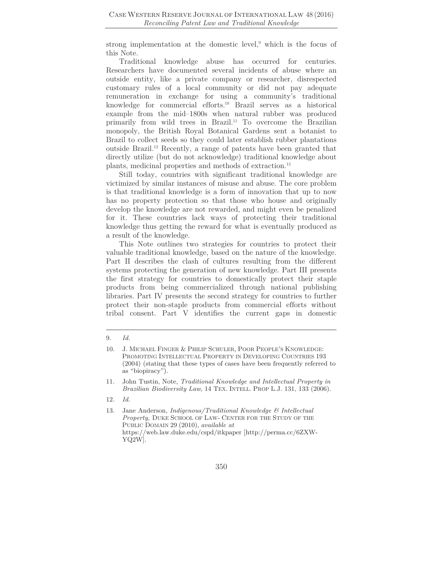strong implementation at the domestic level,<sup>9</sup> which is the focus of this Note.

Traditional knowledge abuse has occurred for centuries. Researchers have documented several incidents of abuse where an outside entity, like a private company or researcher, disrespected customary rules of a local community or did not pay adequate remuneration in exchange for using a community's traditional knowledge for commercial efforts.10 Brazil serves as a historical example from the mid–1800s when natural rubber was produced primarily from wild trees in Brazil.11 To overcome the Brazilian monopoly, the British Royal Botanical Gardens sent a botanist to Brazil to collect seeds so they could later establish rubber plantations outside Brazil.12 Recently, a range of patents have been granted that directly utilize (but do not acknowledge) traditional knowledge about plants, medicinal properties and methods of extraction.13

Still today, countries with significant traditional knowledge are victimized by similar instances of misuse and abuse. The core problem is that traditional knowledge is a form of innovation that up to now has no property protection so that those who house and originally develop the knowledge are not rewarded, and might even be penalized for it. These countries lack ways of protecting their traditional knowledge thus getting the reward for what is eventually produced as a result of the knowledge.

This Note outlines two strategies for countries to protect their valuable traditional knowledge, based on the nature of the knowledge. Part II describes the clash of cultures resulting from the different systems protecting the generation of new knowledge. Part III presents the first strategy for countries to domestically protect their staple products from being commercialized through national publishing libraries. Part IV presents the second strategy for countries to further protect their non-staple products from commercial efforts without tribal consent. Part V identifies the current gaps in domestic

<sup>9</sup>*. Id.*

<sup>10.</sup> J. MICHAEL FINGER & PHILIP SCHULER, POOR PEOPLE'S KNOWLEDGE: PROMOTING INTELLECTUAL PROPERTY IN DEVELOPING COUNTRIES 193 (2004) (stating that these types of cases have been frequently referred to as "biopiracy").

<sup>11.</sup> John Tustin, Note, *Traditional Knowledge and Intellectual Property in Brazilian Biodiversity Law*, 14 TEX. INTELL. PROP L.J. 131, 133 (2006).

<sup>12</sup>*. Id.*

<sup>13.</sup> Jane Anderson, *Indigenous/Traditional Knowledge & Intellectual Property,* DUKE SCHOOL OF LAW- CENTER FOR THE STUDY OF THE PUBLIC DOMAIN 29 (2010), *available at* https://web.law.duke.edu/cspd/itkpaper [http://perma.cc/6ZXW-YQ2W].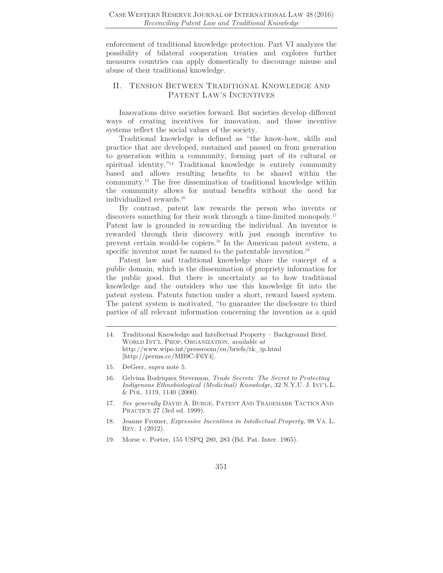enforcement of traditional knowledge protection. Part VI analyzes the possibility of bilateral cooperation treaties and explores further measures countries can apply domestically to discourage misuse and abuse of their traditional knowledge.

## II. TENSION BETWEEN TRADITIONAL KNOWLEDGE AND PATENT LAW'S INCENTIVES

Innovations drive societies forward. But societies develop different ways of creating incentives for innovation, and those incentive systems reflect the social values of the society.

Traditional knowledge is defined as "the know-how, skills and practice that are developed, sustained and passed on from generation to generation within a community, forming part of its cultural or spiritual identity."14 Traditional knowledge is entirely community based and allows resulting benefits to be shared within the community.15 The free dissemination of traditional knowledge within the community allows for mutual benefits without the need for individualized rewards.16

By contrast, patent law rewards the person who invents or discovers something for their work through a time-limited monopoly.<sup>17</sup> Patent law is grounded in rewarding the individual. An inventor is rewarded through their discovery with just enough incentive to prevent certain would-be copiers.18 In the American patent system, a specific inventor must be named to the patentable invention.<sup>19</sup>

Patent law and traditional knowledge share the concept of a public domain, which is the dissemination of propriety information for the public good. But there is uncertainty as to how traditional knowledge and the outsiders who use this knowledge fit into the patent system. Patents function under a short, reward based system. The patent system is motivated, "to guarantee the disclosure to third parties of all relevant information concerning the invention as a quid

<sup>14.</sup> Traditional Knowledge and Intellectual Property – Background Brief, WORLD INT'L. PROP. ORGANIZATION, *available at* http://www.wipo.int/pressroom/en/briefs/tk\_ip.html [http://perma.cc/MB9C-F6Y4].

<sup>15.</sup> DeGeer, *supra* note 5.

<sup>16.</sup> Gelvina Rodriquez Stevenson, *Trade Secrets: The Secret to Protecting Indigenous Ethnobiological (Medicinal) Knowledge*, 32 N.Y.U. J. INT'L L. & POL. 1119, 1140 (2000).

<sup>17</sup>*. See generally* DAVID A. BURGE, PATENT AND TRADEMARK TACTICS AND PRACTICE 27 (3rd ed. 1999).

<sup>18.</sup> Jeanne Fromer, *Expressive Incentives in Intellectual Property,* 98 VA. L. REV. 1 (2012).

<sup>19.</sup> Morse v. Porter, 155 USPQ 280, 283 (Bd. Pat. Inter. 1965).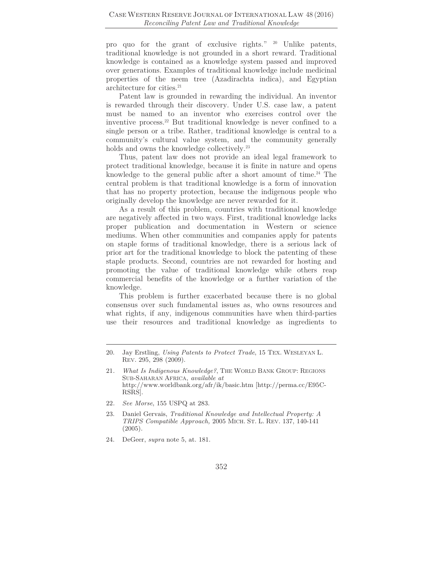pro quo for the grant of exclusive rights." 20 Unlike patents, traditional knowledge is not grounded in a short reward. Traditional knowledge is contained as a knowledge system passed and improved over generations. Examples of traditional knowledge include medicinal properties of the neem tree (Azadirachta indica), and Egyptian architecture for cities.<sup>21</sup>

Patent law is grounded in rewarding the individual. An inventor is rewarded through their discovery. Under U.S. case law, a patent must be named to an inventor who exercises control over the inventive process.22 But traditional knowledge is never confined to a single person or a tribe. Rather, traditional knowledge is central to a community's cultural value system, and the community generally holds and owns the knowledge collectively.<sup>23</sup>

Thus, patent law does not provide an ideal legal framework to protect traditional knowledge, because it is finite in nature and opens knowledge to the general public after a short amount of time.<sup>24</sup> The central problem is that traditional knowledge is a form of innovation that has no property protection, because the indigenous people who originally develop the knowledge are never rewarded for it.

As a result of this problem, countries with traditional knowledge are negatively affected in two ways. First, traditional knowledge lacks proper publication and documentation in Western or science mediums. When other communities and companies apply for patents on staple forms of traditional knowledge, there is a serious lack of prior art for the traditional knowledge to block the patenting of these staple products. Second, countries are not rewarded for hosting and promoting the value of traditional knowledge while others reap commercial benefits of the knowledge or a further variation of the knowledge.

This problem is further exacerbated because there is no global consensus over such fundamental issues as, who owns resources and what rights, if any, indigenous communities have when third-parties use their resources and traditional knowledge as ingredients to

- 22*. See Morse*, 155 USPQ at 283.
- 23. Daniel Gervais, *Traditional Knowledge and Intellectual Property: A TRIPS Compatible Approach,* 2005 MICH. ST. L. REV. 137, 140-141  $(2005).$
- 24. DeGeer, *supra* note 5, at. 181.

<sup>20.</sup> Jay Erstling, *Using Patents to Protect Trade*, 15 TEX. WESLEYAN L. REV. 295, 298 (2009).

<sup>21</sup>*. What Is Indigenous Knowledge?*, THE WORLD BANK GROUP: REGIONS SUB-SAHARAN AFRICA, *available at* http://www.worldbank.org/afr/ik/basic.htm [http://perma.cc/E95C-RSRS].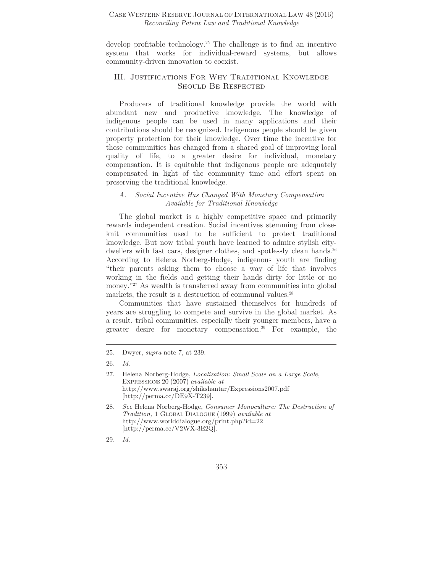develop profitable technology.25 The challenge is to find an incentive system that works for individual-reward systems, but allows community-driven innovation to coexist.

## III. Justifications For Why Traditional Knowledge Should Be Respected

Producers of traditional knowledge provide the world with abundant new and productive knowledge. The knowledge of indigenous people can be used in many applications and their contributions should be recognized. Indigenous people should be given property protection for their knowledge. Over time the incentive for these communities has changed from a shared goal of improving local quality of life, to a greater desire for individual, monetary compensation. It is equitable that indigenous people are adequately compensated in light of the community time and effort spent on preserving the traditional knowledge.

#### *A. Social Incentive Has Changed With Monetary Compensation Available for Traditional Knowledge*

The global market is a highly competitive space and primarily rewards independent creation. Social incentives stemming from closeknit communities used to be sufficient to protect traditional knowledge. But now tribal youth have learned to admire stylish citydwellers with fast cars, designer clothes, and spotlessly clean hands.<sup>26</sup> According to Helena Norberg-Hodge, indigenous youth are finding "their parents asking them to choose a way of life that involves working in the fields and getting their hands dirty for little or no money."<sup>27</sup> As wealth is transferred away from communities into global markets, the result is a destruction of communal values.<sup>28</sup>

Communities that have sustained themselves for hundreds of years are struggling to compete and survive in the global market. As a result, tribal communities, especially their younger members, have a greater desire for monetary compensation.29 For example, the

<sup>25.</sup> Dwyer, *supra* note 7, at 239.

<sup>26</sup>*. Id.*

<sup>27.</sup> Helena Norberg-Hodge, *Localization: Small Scale on a Large Scale*, EXPRESSIONS 20 (2007) *available at* http://www.swaraj.org/shikshantar/Expressions2007.pdf [http://perma.cc/DE9X-T239].

<sup>28</sup>*. See* Helena Norberg-Hodge, *Consumer Monoculture: The Destruction of Tradition,* 1 GLOBAL DIALOGUE (1999) *available at* http://www.worlddialogue.org/print.php?id=22 [http://perma.cc/V2WX-3E2Q].

<sup>29</sup>*. Id.*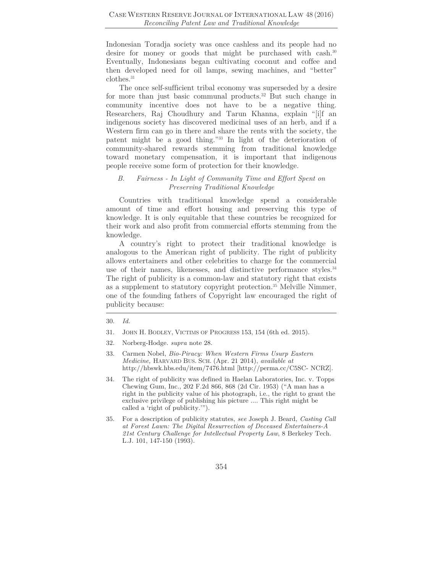Indonesian Toradja society was once cashless and its people had no desire for money or goods that might be purchased with cash.<sup>30</sup> Eventually, Indonesians began cultivating coconut and coffee and then developed need for oil lamps, sewing machines, and "better" clothes.31

The once self-sufficient tribal economy was superseded by a desire for more than just basic communal products.32 But such change in community incentive does not have to be a negative thing. Researchers, Raj Choudhury and Tarun Khanna, explain "[i]f an indigenous society has discovered medicinal uses of an herb, and if a Western firm can go in there and share the rents with the society, the patent might be a good thing."33 In light of the deterioration of community-shared rewards stemming from traditional knowledge toward monetary compensation, it is important that indigenous people receive some form of protection for their knowledge.

#### *B. Fairness - In Light of Community Time and Effort Spent on Preserving Traditional Knowledge*

Countries with traditional knowledge spend a considerable amount of time and effort housing and preserving this type of knowledge. It is only equitable that these countries be recognized for their work and also profit from commercial efforts stemming from the knowledge.

A country's right to protect their traditional knowledge is analogous to the American right of publicity. The right of publicity allows entertainers and other celebrities to charge for the commercial use of their names, likenesses, and distinctive performance styles.<sup>34</sup> The right of publicity is a common-law and statutory right that exists as a supplement to statutory copyright protection.<sup>35</sup> Melville Nimmer, one of the founding fathers of Copyright law encouraged the right of publicity because:

- 31. JOHN H. BODLEY, VICTIMS OF PROGRESS 153, 154 (6th ed. 2015).
- 32. Norberg-Hodge. *supra* note 28.
- 33. Carmen Nobel, *Bio-Piracy: When Western Firms Usurp Eastern Medicine,* HARVARD BUS. SCH. (Apr. 21 2014), *available at*  http://hbswk.hbs.edu/item/7476.html [http://perma.cc/C5SC- NCRZ].
- 34. The right of publicity was defined in Haelan Laboratories, Inc. v. Topps Chewing Gum, Inc., 202 F.2d 866, 868 (2d Cir. 1953) ("A man has a right in the publicity value of his photograph, i.e., the right to grant the exclusive privilege of publishing his picture .... This right might be called a 'right of publicity.'").
- 35. For a description of publicity statutes, *see* Joseph J. Beard, *Casting Call at Forest Lawn: The Digital Resurrection of Deceased Entertainers-A 21st Century Challenge for Intellectual Property Law*, 8 Berkeley Tech. L.J. 101, 147-150 (1993).

<sup>30.</sup> *Id.*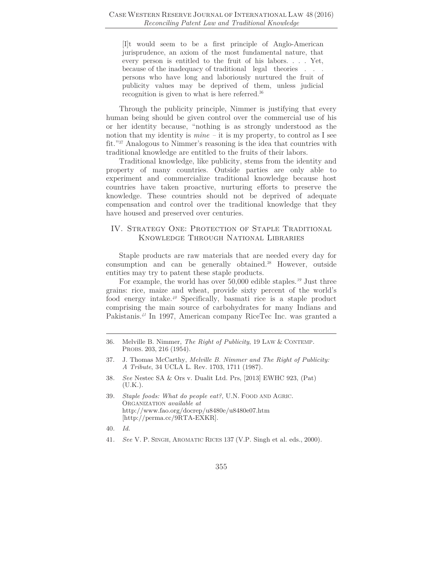[I]t would seem to be a first principle of Anglo-American jurisprudence, an axiom of the most fundamental nature, that every person is entitled to the fruit of his labors. . . . Yet, because of the inadequacy of traditional legal theories . . . persons who have long and laboriously nurtured the fruit of publicity values may be deprived of them, unless judicial recognition is given to what is here referred.36

Through the publicity principle, Nimmer is justifying that every human being should be given control over the commercial use of his or her identity because, "nothing is as strongly understood as the notion that my identity is *mine* – it is my property, to control as I see fit."37 Analogous to Nimmer's reasoning is the idea that countries with traditional knowledge are entitled to the fruits of their labors.

Traditional knowledge, like publicity, stems from the identity and property of many countries. Outside parties are only able to experiment and commercialize traditional knowledge because host countries have taken proactive, nurturing efforts to preserve the knowledge. These countries should not be deprived of adequate compensation and control over the traditional knowledge that they have housed and preserved over centuries.

## IV. STRATEGY ONE: PROTECTION OF STAPLE TRADITIONAL Knowledge Through National Libraries

Staple products are raw materials that are needed every day for consumption and can be generally obtained.38 However, outside entities may try to patent these staple products.

For example, the world has over 50,000 edible staples.*<sup>39</sup>* Just three grains: rice, maize and wheat, provide sixty percent of the world's food energy intake.*<sup>40</sup>* Specifically, basmati rice is a staple product comprising the main source of carbohydrates for many Indians and Pakistanis.*<sup>41</sup>* In 1997, American company RiceTec Inc. was granted a

- 39*. Staple foods: What do people eat?*, U.N. FOOD AND AGRIC. ORGANIZATION *available at* http://www.fao.org/docrep/u8480e/u8480e07.htm [http://perma.cc/9RTA-EXKR].
- 40*. Id.*
- 41*. See* V. P. SINGH, AROMATIC RICES 137 (V.P. Singh et al. eds., 2000).

<sup>36.</sup> Melville B. Nimmer, *The Right of Publicity*, 19 LAW & CONTEMP. PROBS. 203, 216 (1954).

<sup>37.</sup> J. Thomas McCarthy, *Melville B. Nimmer and The Right of Publicity: A Tribute*, 34 UCLA L. Rev. 1703, 1711 (1987).

<sup>38</sup>*. See* Nestec SA & Ors v. Dualit Ltd. Prs, [2013] EWHC 923, (Pat) (U.K.).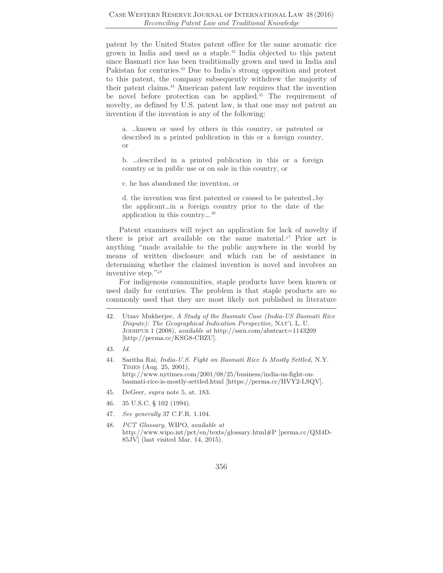patent by the United States patent office for the same aromatic rice grown in India and used as a staple.42 India objected to this patent since Basmati rice has been traditionally grown and used in India and Pakistan for centuries.43 Due to India's strong opposition and protest to this patent, the company subsequently withdrew the majority of their patent claims.44 American patent law requires that the invention be novel before protection can be applied.45 The requirement of novelty, as defined by U.S. patent law, is that one may not patent an invention if the invention is any of the following:

a. …known or used by others in this country, or patented or described in a printed publication in this or a foreign country, or

b. …described in a printed publication in this or a foreign country or in public use or on sale in this country, or

c. he has abandoned the invention, or

d. the invention was first patented or caused to be patented…by the applicant…in a foreign country prior to the date of the application in this country….46

Patent examiners will reject an application for lack of novelty if there is prior art available on the same material.*<sup>47</sup>* Prior art is anything "made available to the public anywhere in the world by means of written disclosure and which can be of assistance in determining whether the claimed invention is novel and involves an inventive step."*<sup>48</sup>*

For indigenous communities, staple products have been known or used daily for centuries. The problem is that *s*taple products are so commonly used that they are most likely not published in literature

- 43*. Id.*
- 44. Saritha Rai, *India-U.S. Fight on Basmati Rice Is Mostly Settled,* N.Y. TIMES (Aug. 25, 2001), http://www.nytimes.com/2001/08/25/business/india-us-fight-onbasmati-rice-is-mostly-settled.html [https://perma.cc/HVY2-LSQV].
- 45. DeGeer, *supra* note 5, at. 183.
- 46. 35 U.S.C. § 102 (1994).
- 47*. See generally* 37 C.F.R. 1.104.
- 48*. PCT Glossary*, WIPO, *available at*  http://www.wipo.int/pct/en/texts/glossary.html#P [perma.cc/QM4D-85JV] (last visited Mar. 14, 2015).

<sup>42.</sup> Utsav Mukherjee, *A Study of the Basmati Case (India-US Basmati Rice Dispute): The Geographical Indication Perspective*, NAT'L L. U. JODHPUR 1 (2008), *available at* http://ssrn.com/abstract=1143209 [http://perma.cc/KSG8-CBZU].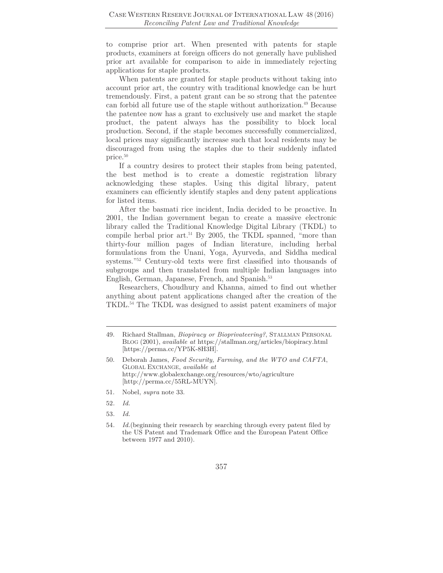to comprise prior art. When presented with patents for staple products, examiners at foreign officers do not generally have published prior art available for comparison to aide in immediately rejecting applications for staple products.

When patents are granted for staple products without taking into account prior art, the country with traditional knowledge can be hurt tremendously. First, a patent grant can be so strong that the patentee can forbid all future use of the staple without authorization.<sup>49</sup> Because the patentee now has a grant to exclusively use and market the staple product, the patent always has the possibility to block local production. Second, if the staple becomes successfully commercialized, local prices may significantly increase such that local residents may be discouraged from using the staples due to their suddenly inflated price.50

If a country desires to protect their staples from being patented, the best method is to create a domestic registration library acknowledging these staples. Using this digital library, patent examiners can efficiently identify staples and deny patent applications for listed items.

After the basmati rice incident, India decided to be proactive. In 2001, the Indian government began to create a massive electronic library called the Traditional Knowledge Digital Library (TKDL) to compile herbal prior art.<sup>51</sup> By 2005, the TKDL spanned, "more than thirty-four million pages of Indian literature, including herbal formulations from the Unani, Yoga, Ayurveda, and Siddha medical systems."52 Century-old texts were first classified into thousands of subgroups and then translated from multiple Indian languages into English, German, Japanese, French, and Spanish.<sup>53</sup>

Researchers, Choudhury and Khanna, aimed to find out whether anything about patent applications changed after the creation of the TKDL.54 The TKDL was designed to assist patent examiners of major

51. Nobel, *supra* note 33.

53*. Id.*

<sup>49.</sup> Richard Stallman, *Biopiracy or Bioprivateering?*, STALLMAN PERSONAL BLOG (2001), *available at* https://stallman.org/articles/biopiracy.html [https://perma.cc/YP5K-8H3H].

<sup>50.</sup> Deborah James, *Food Security, Farming, and the WTO and CAFTA*, GLOBAL EXCHANGE, *available at* http://www.globalexchange.org/resources/wto/agriculture [http://perma.cc/55RL-MUYN].

<sup>52</sup>*. Id.*

<sup>54</sup>*. Id.*(beginning their research by searching through every patent filed by the US Patent and Trademark Office and the European Patent Office between 1977 and 2010).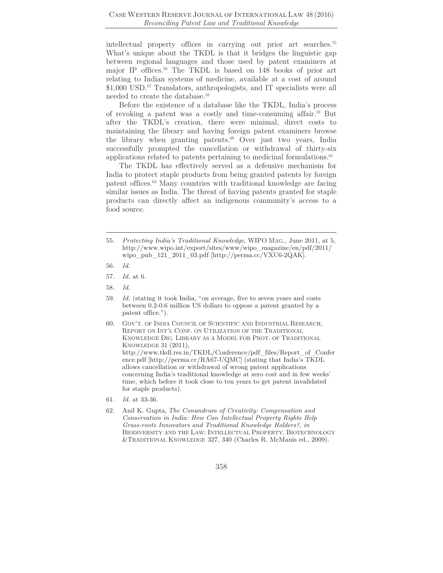intellectual property offices in carrying out prior art searches.55 What's unique about the TKDL is that it bridges the linguistic gap between regional languages and those used by patent examiners at major IP offices.56 The TKDL is based on 148 books of prior art relating to Indian systems of medicine, available at a cost of around \$1,000 USD.<sup>57</sup> Translators, anthropologists, and IT specialists were all needed to create the database.58

Before the existence of a database like the TKDL, India's process of revoking a patent was a costly and time-consuming affair.59 But after the TKDL's creation, there were minimal, direct costs to maintaining the library and having foreign patent examiners browse the library when granting patents.<sup>60</sup> Over just two years, India successfully prompted the cancellation or withdrawal of thirty-six applications related to patents pertaining to medicinal formulations.<sup>61</sup>

The TKDL has effectively served as a defensive mechanism for India to protect staple products from being granted patents by foreign patent offices.62 Many countries with traditional knowledge are facing similar issues as India. The threat of having patents granted for staple products can directly affect an indigenous community's access to a food source.

<sup>55</sup>*. Protecting India's Traditional Knowledge*, WIPO MAG., June 2011, at 5, http://www.wipo.int/export/sites/www/wipo\_magazine/en/pdf/2011/ wipo\_pub\_121\_2011\_03.pdf [http://perma.cc/VXU6-2QAK].

<sup>56</sup>*. Id.*

<sup>57</sup>*. Id.* at 6.

<sup>58</sup>*. Id.*

<sup>59</sup>*. Id.* (stating it took India, "on average, five to seven years and costs between 0.2-0.6 million US dollars to oppose a patent granted by a patent office.").

<sup>60.</sup> GOV'T. OF INDIA COUNCIL OF SCIENTIFIC AND INDUSTRIAL RESEARCH, REPORT ON INT'L CONF. ON UTILIZATION OF THE TRADITIONAL KNOWLEDGE DIG. LIBRARY AS A MODEL FOR PROT. OF TRADITIONAL KNOWLEDGE 31 (2011), http://www.tkdl.res.in/TKDL/Conference/pdf\_files/Report\_of\_Confer ence.pdf [http://perma.cc/RA67-UQMC] (stating that India's TKDL allows cancellation or withdrawal of wrong patent applications concerning India's traditional knowledge at zero cost and in few weeks' time, which before it took close to ten years to get patent invalidated for staple products).

<sup>61</sup>*. Id.* at 33-36.

<sup>62.</sup> Anil K. Gupta, *The Conundrum of Creativity: Compensation and Conservation in India: How Can Intellectual Property Rights Help Grass-roots Innovators and Traditional Knowledge Holders?*, *in* BIODIVERSITY AND THE LAW: INTELLECTUAL PROPERTY, BIOTECHNOLOGY &TRADITIONAL KNOWLEDGE 327, 340 (Charles R. McManis ed., 2009).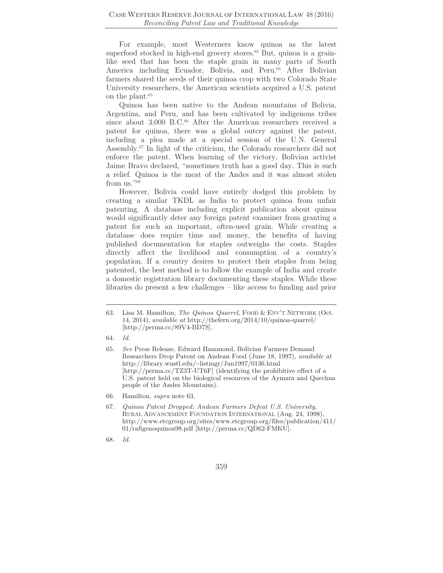For example, most Westerners know quinoa as the latest superfood stocked in high-end grocery stores.<sup>63</sup> But, quinoa is a grainlike seed that has been the staple grain in many parts of South America including Ecuador, Bolivia, and Peru.<sup>64</sup> After Bolivian farmers shared the seeds of their quinoa crop with two Colorado State University researchers, the American scientists acquired a U.S. patent on the plant.65

Quinoa has been native to the Andean mountains of Bolivia, Argentina, and Peru, and has been cultivated by indigenous tribes since about 3,000 B.C.<sup>66</sup> After the American researchers received a patent for quinoa, there was a global outcry against the patent, including a plea made at a special session of the U.N. General Assembly.67 In light of the criticism, the Colorado researchers did not enforce the patent. When learning of the victory, Bolivian activist Jaime Bravo declared, "sometimes truth has a good day. This is such a relief. Quinoa is the meat of the Andes and it was almost stolen from us."68

However, Bolivia could have entirely dodged this problem by creating a similar TKDL as India to protect quinoa from unfair patenting. A database including explicit publication about quinoa would significantly deter any foreign patent examiner from granting a patent for such an important, often-used grain. While creating a database does require time and money, the benefits of having published documentation for staples outweighs the costs. Staples directly affect the livelihood and consumption of a country's population. If a country desires to protect their staples from being patented, the best method is to follow the example of India and create a domestic registration library documenting these staples. While these libraries do present a few challenges – like access to funding and prior

<sup>63.</sup> Lisa M. Hamilton, *The Quinoa Quarrel*, FOOD & ENV'T NETWORK (Oct. 14, 2014), *available at* http://thefern.org/2014/10/quinoa-quarrel/ [http://perma.cc/89V4-BD7S].

<sup>64</sup>*. Id.*

<sup>65</sup>*. See* Press Release, Edward Hammond, Bolivian Farmers Demand Researchers Drop Patent on Andean Food (June 18, 1997), *available at*  http://library.wustl.edu/~listmgr/Jun1997/0136.html [http://perma.cc/TZ3T-UT6F] (identifying the prohibitive effect of a U.S. patent held on the biological resources of the Aymara and Quechua people of the Andes Mountains).

<sup>66.</sup> Hamilton, *supra* note 63.

<sup>67</sup>*. Quinoa Patent Dropped: Andean Farmers Defeat U.S. University*, RURAL ADVANCEMENT FOUNDATION INTERNATIONAL (Aug. 24, 1998), http://www.etcgroup.org/sites/www.etcgroup.org/files/publication/411/ 01/rafigenoquinoa98.pdf [http://perma.cc/QD62-FMKU].

<sup>68</sup>*. Id.*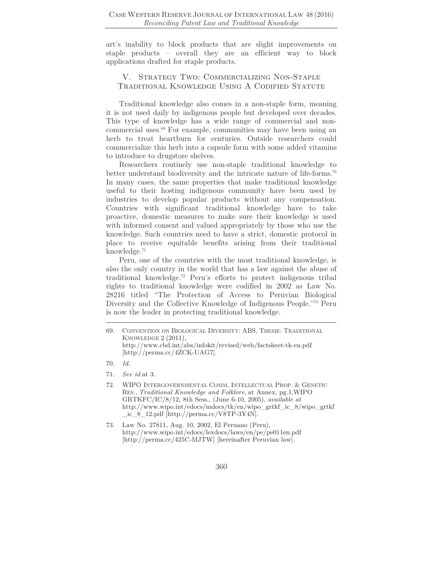art's inability to block products that are slight improvements on staple products – overall they are an efficient way to block applications drafted for staple products.

## V. Strategy Two: Commercializing Non-Staple Traditional Knowledge Using A Codified Statute

Traditional knowledge also comes in a non-staple form, meaning it is not used daily by indigenous people but developed over decades. This type of knowledge has a wide range of commercial and noncommercial uses.69 For example, communities may have been using an herb to treat heartburn for centuries. Outside researchers could commercialize this herb into a capsule form with some added vitamins to introduce to drugstore shelves.

Researchers routinely use non-staple traditional knowledge to better understand biodiversity and the intricate nature of life-forms.70 In many cases, the same properties that make traditional knowledge useful to their hosting indigenous community have been used by industries to develop popular products without any compensation. Countries with significant traditional knowledge have to take proactive, domestic measures to make sure their knowledge is used with informed consent and valued appropriately by those who use the knowledge. Such countries need to have a strict, domestic protocol in place to receive equitable benefits arising from their traditional knowledge.71

Peru, one of the countries with the most traditional knowledge, is also the only country in the world that has a law against the abuse of traditional knowledge.72 Peru's efforts to protect indigenous tribal rights to traditional knowledge were codified in 2002 as Law No. 28216 titled "The Protection of Access to Peruvian Biological Diversity and the Collective Knowledge of Indigenous People."73 Peru is now the leader in protecting traditional knowledge.

71*. See id.*at 3.

<sup>69.</sup> CONVENTION ON BIOLOGICAL DIVERSITY: ABS, THEME: TRADITIONAL KNOWLEDGE 2 (2011), http://www.cbd.int/abs/infokit/revised/web/factsheet-tk-en.pdf [http://perma.cc/4ZCK-UAG7].

<sup>70</sup>*. Id.*

<sup>72.</sup> WIPO INTERGOVERNMENTAL COMM. INTELLECTUAL PROP. & GENETIC RES., *Traditional Knowledge and Folklore*, at Annex, pg.1,WIPO GRTKFC/IC/8/12, 8th Sess., (June 6-10, 2005), *available at*  http://www.wipo.int/edocs/mdocs/tk/en/wipo\_grtkf\_ic\_8/wipo\_grtkf  $ic_8_12.pdf$  [http://perma.cc/V8TP-3Y4N].

<sup>73.</sup> Law No. 27811, Aug. 10, 2002, El Peruano (Peru), http://www.wipo.int/edocs/lexdocs/laws/en/pe/pe011en.pdf [http://perma.cc/425C-MJTW] [hereinafter Peruvian law].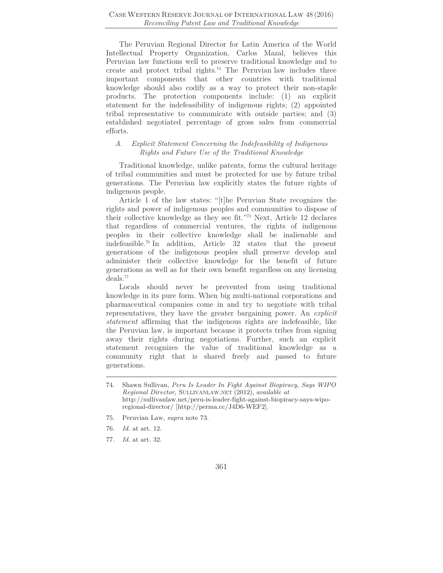The Peruvian Regional Director for Latin America of the World Intellectual Property Organization, Carlos Mazal, believes this Peruvian law functions well to preserve traditional knowledge and to create and protect tribal rights.74 The Peruvian law includes three important components that other countries with traditional knowledge should also codify as a way to protect their non-staple products. The protection components include: (1) an explicit statement for the indefeasibility of indigenous rights; (2) appointed tribal representative to communicate with outside parties; and (3) established negotiated percentage of gross sales from commercial efforts.

## *A. Explicit Statement Concerning the Indefeasibility of Indigenous Rights and Future Use of the Traditional Knowledge*

Traditional knowledge, unlike patents, forms the cultural heritage of tribal communities and must be protected for use by future tribal generations. The Peruvian law explicitly states the future rights of indigenous people.

Article 1 of the law states: "[t]he Peruvian State recognizes the rights and power of indigenous peoples and communities to dispose of their collective knowledge as they see fit."75 Next, Article 12 declares that regardless of commercial ventures, the rights of indigenous peoples in their collective knowledge shall be inalienable and indefeasible.76 In addition, Article 32 states that the present generations of the indigenous peoples shall preserve develop and administer their collective knowledge for the benefit of future generations as well as for their own benefit regardless on any licensing deals.<sup>77</sup>

Locals should never be prevented from using traditional knowledge in its pure form. When big multi-national corporations and pharmaceutical companies come in and try to negotiate with tribal representatives, they have the greater bargaining power. An *explicit statement* affirming that the indigenous rights are indefeasible, like the Peruvian law, is important because it protects tribes from signing away their rights during negotiations. Further, such an explicit statement recognizes the value of traditional knowledge as a community right that is shared freely and passed to future generations.

- 75. Peruvian Law, *supra* note 73.
- 76*. Id.* at art. 12.
- 77*. Id.* at art. 32.

<sup>74.</sup> Shawn Sullivan, *Peru Is Leader In Fight Against Biopiracy, Says WIPO Regional Director,* SULLIVANLAW.NET (2012), *available at*  http://sullivanlaw.net/peru-is-leader-fight-against-biopiracy-says-wiporegional-director/ [http://perma.cc/J4D6-WEF2].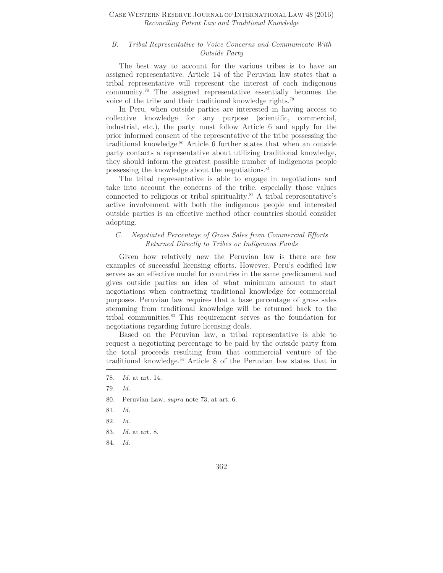#### *B. Tribal Representative to Voice Concerns and Communicate With Outside Party*

The best way to account for the various tribes is to have an assigned representative. Article 14 of the Peruvian law states that a tribal representative will represent the interest of each indigenous community.78 The assigned representative essentially becomes the voice of the tribe and their traditional knowledge rights.79

In Peru, when outside parties are interested in having access to collective knowledge for any purpose (scientific, commercial, industrial, etc.), the party must follow Article 6 and apply for the prior informed consent of the representative of the tribe possessing the traditional knowledge.<sup>80</sup> Article 6 further states that when an outside party contacts a representative about utilizing traditional knowledge, they should inform the greatest possible number of indigenous people possessing the knowledge about the negotiations.<sup>81</sup>

The tribal representative is able to engage in negotiations and take into account the concerns of the tribe, especially those values connected to religious or tribal spirituality.82 A tribal representative's active involvement with both the indigenous people and interested outside parties is an effective method other countries should consider adopting.

## *C. Negotiated Percentage of Gross Sales from Commercial Efforts Returned Directly to Tribes or Indigenous Funds*

Given how relatively new the Peruvian law is there are few examples of successful licensing efforts. However, Peru's codified law serves as an effective model for countries in the same predicament and gives outside parties an idea of what minimum amount to start negotiations when contracting traditional knowledge for commercial purposes. Peruvian law requires that a base percentage of gross sales stemming from traditional knowledge will be returned back to the tribal communities.83 This requirement serves as the foundation for negotiations regarding future licensing deals.

Based on the Peruvian law, a tribal representative is able to request a negotiating percentage to be paid by the outside party from the total proceeds resulting from that commercial venture of the traditional knowledge.84 Article 8 of the Peruvian law states that in

- 80. Peruvian Law, *supra* note 73, at art. 6.
- 81*. Id.*
- 82*. Id.*
- 83*. Id.* at art. 8.
- 84*. Id.*

<sup>78</sup>*. Id.* at art. 14.

<sup>79</sup>*. Id.*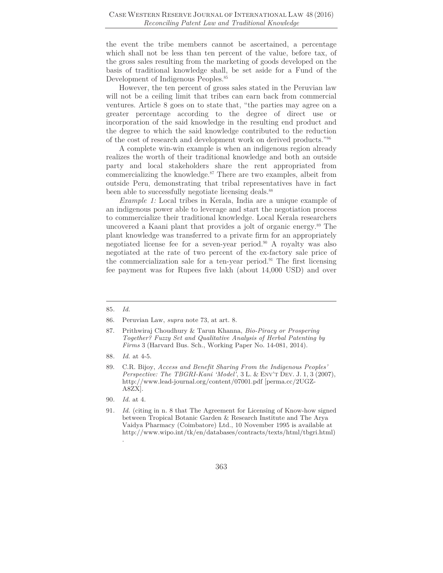the event the tribe members cannot be ascertained, a percentage which shall not be less than ten percent of the value, before tax, of the gross sales resulting from the marketing of goods developed on the basis of traditional knowledge shall, be set aside for a Fund of the Development of Indigenous Peoples.85

However, the ten percent of gross sales stated in the Peruvian law will not be a ceiling limit that tribes can earn back from commercial ventures. Article 8 goes on to state that, "the parties may agree on a greater percentage according to the degree of direct use or incorporation of the said knowledge in the resulting end product and the degree to which the said knowledge contributed to the reduction of the cost of research and development work on derived products."86

A complete win-win example is when an indigenous region already realizes the worth of their traditional knowledge and both an outside party and local stakeholders share the rent appropriated from commercializing the knowledge.<sup>87</sup> There are two examples, albeit from outside Peru, demonstrating that tribal representatives have in fact been able to successfully negotiate licensing deals.<sup>88</sup>

*Example 1:* Local tribes in Kerala, India are a unique example of an indigenous power able to leverage and start the negotiation process to commercialize their traditional knowledge. Local Kerala researchers uncovered a Kaani plant that provides a jolt of organic energy.89 The plant knowledge was transferred to a private firm for an appropriately negotiated license fee for a seven-year period.<sup>90</sup> A royalty was also negotiated at the rate of two percent of the ex-factory sale price of the commercialization sale for a ten-year period.91 The first licensing fee payment was for Rupees five lakh (about 14,000 USD) and over

90*. Id.* at 4.

<sup>85</sup>*. Id.* 

<sup>86.</sup> Peruvian Law, *supra* note 73, at art. 8.

<sup>87.</sup> Prithwiraj Choudhury & Tarun Khanna, *Bio-Piracy or Prospering Together? Fuzzy Set and Qualitative Analysis of Herbal Patenting by Firms* 3 (Harvard Bus. Sch., Working Paper No. 14-081, 2014).

<sup>88</sup>*. Id.* at 4-5.

<sup>89.</sup> C.R. Bijoy, *Access and Benefit Sharing From the Indigenous Peoples' Perspective: The TBGRI-Kani 'Model'*, 3 L. & ENV'T DEV. J. 1, 3 (2007), http://www.lead-journal.org/content/07001.pdf [perma.cc/2UGZ-A8ZX].

<sup>91</sup>*. Id.* (citing in n. 8 that The Agreement for Licensing of Know-how signed between Tropical Botanic Garden & Research Institute and The Arya Vaidya Pharmacy (Coimbatore) Ltd., 10 November 1995 is available at http://www.wipo.int/tk/en/databases/contracts/texts/html/tbgri.html) .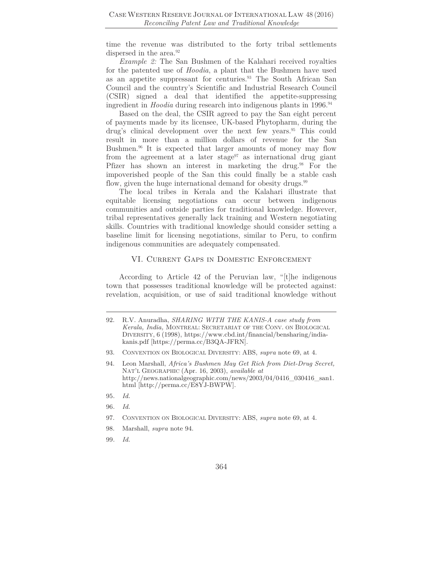time the revenue was distributed to the forty tribal settlements dispersed in the area.<sup>92</sup>

*Example 2:* The San Bushmen of the Kalahari received royalties for the patented use of *Hoodia*, a plant that the Bushmen have used as an appetite suppressant for centuries.<sup>93</sup> The South African San Council and the country's Scientific and Industrial Research Council (CSIR) signed a deal that identified the appetite-suppressing ingredient in *Hoodia* during research into indigenous plants in 1996.<sup>94</sup>

Based on the deal, the CSIR agreed to pay the San eight percent of payments made by its licensee, UK-based Phytopharm, during the drug's clinical development over the next few years.<sup>95</sup> This could result in more than a million dollars of revenue for the San Bushmen.<sup>96</sup> It is expected that larger amounts of money may flow from the agreement at a later stage<sup>97</sup> as international drug giant Pfizer has shown an interest in marketing the drug.<sup>98</sup> For the impoverished people of the San this could finally be a stable cash flow, given the huge international demand for obesity drugs.<sup>99</sup>

The local tribes in Kerala and the Kalahari illustrate that equitable licensing negotiations can occur between indigenous communities and outside parties for traditional knowledge. However, tribal representatives generally lack training and Western negotiating skills. Countries with traditional knowledge should consider setting a baseline limit for licensing negotiations, similar to Peru, to confirm indigenous communities are adequately compensated.

#### VI. Current Gaps in Domestic Enforcement

According to Article 42 of the Peruvian law, "[t]he indigenous town that possesses traditional knowledge will be protected against: revelation, acquisition, or use of said traditional knowledge without

- 96*. Id.*
- 97. CONVENTION ON BIOLOGICAL DIVERSITY: ABS, *supra* note 69, at 4.
- 98. Marshall, *supra* note 94.
- 99*. Id.*

<sup>92.</sup> R.V. Anuradha, *SHARING WITH THE KANIS-A case study from Kerala, India,* MONTREAL: SECRETARIAT OF THE CONV. ON BIOLOGICAL DIVERSITY, 6 (1998), https://www.cbd.int/financial/bensharing/indiakanis.pdf [https://perma.cc/B3QA-JFRN].

<sup>93.</sup> CONVENTION ON BIOLOGICAL DIVERSITY: ABS, *supra* note 69, at 4.

<sup>94.</sup> Leon Marshall, *Africa's Bushmen May Get Rich from Diet-Drug Secret,*  NAT'L GEOGRAPHIC (Apr. 16, 2003), *available at* http://news.nationalgeographic.com/news/2003/04/0416\_030416\_san1. html [http://perma.cc/E8YJ-BWPW].

<sup>95</sup>*. Id.*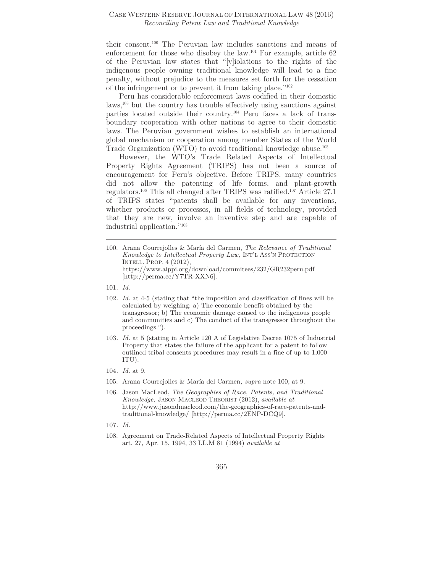their consent.100 The Peruvian law includes sanctions and means of enforcement for those who disobey the law.101 For example, article 62 of the Peruvian law states that "[v]iolations to the rights of the indigenous people owning traditional knowledge will lead to a fine penalty, without prejudice to the measures set forth for the cessation of the infringement or to prevent it from taking place."102

Peru has considerable enforcement laws codified in their domestic laws,<sup>103</sup> but the country has trouble effectively using sanctions against parties located outside their country.104 Peru faces a lack of transboundary cooperation with other nations to agree to their domestic laws. The Peruvian government wishes to establish an international global mechanism or cooperation among member States of the World Trade Organization (WTO) to avoid traditional knowledge abuse.105

However, the WTO's Trade Related Aspects of Intellectual Property Rights Agreement (TRIPS) has not been a source of encouragement for Peru's objective. Before TRIPS, many countries did not allow the patenting of life forms, and plant-growth regulators.106 This all changed after TRIPS was ratified.107 Article 27.1 of TRIPS states "patents shall be available for any inventions, whether products or processes, in all fields of technology, provided that they are new, involve an inventive step and are capable of industrial application."108

- 104*. Id.* at 9.
- 105. Arana Courrejolles & María del Carmen*, supra* note 100, at 9.
- 106. Jason MacLeod, *The Geographies of Race, Patents, and Traditional Knowledge,* JASON MACLEOD THEORIST (2012), *available at* http://www.jasondmacleod.com/the-geographies-of-race-patents-andtraditional-knowledge/ [http://perma.cc/2ENP-DCQ9].
- 107*. Id.*
- 108. Agreement on Trade-Related Aspects of Intellectual Property Rights art. 27, Apr. 15, 1994, 33 I.L.M 81 (1994) *available at*

<sup>100.</sup> Arana Courrejolles & María del Carmen, *The Relevance of Traditional Knowledge to Intellectual Property Law,* INT'L ASS'N PROTECTION INTELL. PROP. 4 (2012), https://www.aippi.org/download/commitees/232/GR232peru.pdf [http://perma.cc/Y7TR-XXN6].

<sup>101</sup>*. Id.*

<sup>102</sup>*. Id.* at 4-5 (stating that "the imposition and classification of fines will be calculated by weighing: a) The economic benefit obtained by the transgressor; b) The economic damage caused to the indigenous people and communities and c) The conduct of the transgressor throughout the proceedings.").

<sup>103</sup>*. Id.* at 5 (stating in Article 120 A of Legislative Decree 1075 of Industrial Property that states the failure of the applicant for a patent to follow outlined tribal consents procedures may result in a fine of up to 1,000 ITU).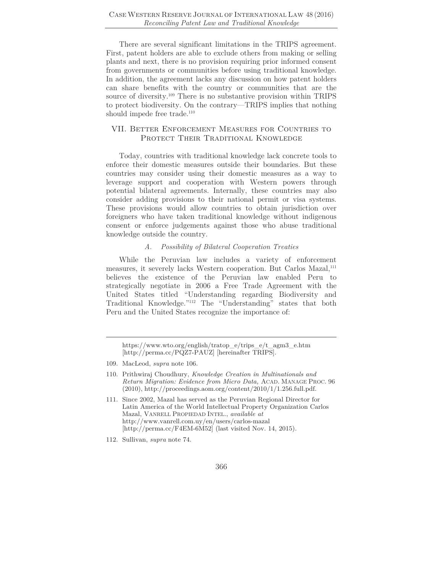There are several significant limitations in the TRIPS agreement. First, patent holders are able to exclude others from making or selling plants and next, there is no provision requiring prior informed consent from governments or communities before using traditional knowledge. In addition, the agreement lacks any discussion on how patent holders can share benefits with the country or communities that are the source of diversity.<sup>109</sup> There is no substantive provision within TRIPS to protect biodiversity. On the contrary—TRIPS implies that nothing should impede free trade.<sup>110</sup>

### VII. Better Enforcement Measures for Countries to PROTECT THEIR TRADITIONAL KNOWLEDGE

Today, countries with traditional knowledge lack concrete tools to enforce their domestic measures outside their boundaries. But these countries may consider using their domestic measures as a way to leverage support and cooperation with Western powers through potential bilateral agreements. Internally, these countries may also consider adding provisions to their national permit or visa systems. These provisions would allow countries to obtain jurisdiction over foreigners who have taken traditional knowledge without indigenous consent or enforce judgements against those who abuse traditional knowledge outside the country.

#### *A. Possibility of Bilateral Cooperation Treaties*

While the Peruvian law includes a variety of enforcement measures, it severely lacks Western cooperation. But Carlos Mazal,<sup>111</sup> believes the existence of the Peruvian law enabled Peru to strategically negotiate in 2006 a Free Trade Agreement with the United States titled "Understanding regarding Biodiversity and Traditional Knowledge."112 The "Understanding" states that both Peru and the United States recognize the importance of:

https://www.wto.org/english/tratop\_e/trips\_e/t\_agm3\_e.htm [http://perma.cc/PQZ7-PAUZ] [hereinafter TRIPS].

<sup>109.</sup> MacLeod, *supra* note 106.

<sup>110.</sup> Prithwiraj Choudhury, *Knowledge Creation in Multinationals and Return Migration: Evidence from Micro Data,* ACAD. MANAGE PROC. 96  $(2010)$ , http://proceedings.aom.org/content/2010/1/1.256.full.pdf.

<sup>111.</sup> Since 2002, Mazal has served as the Peruvian Regional Director for Latin America of the World Intellectual Property Organization Carlos Mazal, VANRELL PROPIEDAD INTEL., *available at*  http://www.vanrell.com.uy/en/users/carlos-mazal [http://perma.cc/F4EM-6M52] (last visited Nov. 14, 2015).

<sup>112.</sup> Sullivan, *supra* note 74.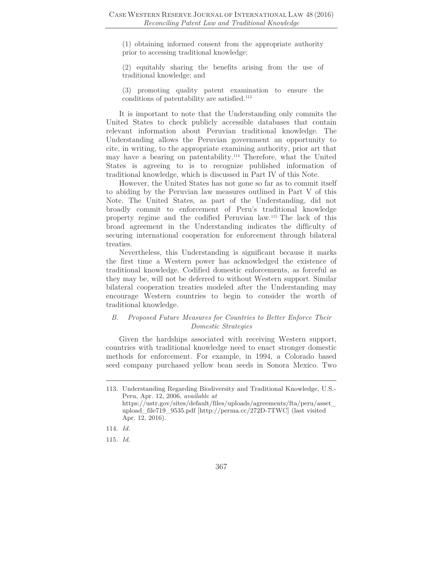(1) obtaining informed consent from the appropriate authority prior to accessing traditional knowledge;

(2) equitably sharing the benefits arising from the use of traditional knowledge; and

(3) promoting quality patent examination to ensure the conditions of patentability are satisfied.113

It is important to note that the Understanding only commits the United States to check publicly accessible databases that contain relevant information about Peruvian traditional knowledge. The Understanding allows the Peruvian government an opportunity to cite, in writing, to the appropriate examining authority, prior art that may have a bearing on patentability.<sup>114</sup> Therefore, what the United States is agreeing to is to recognize published information of traditional knowledge, which is discussed in Part IV of this Note.

However, the United States has not gone so far as to commit itself to abiding by the Peruvian law measures outlined in Part V of this Note. The United States, as part of the Understanding, did not broadly commit to enforcement of Peru's traditional knowledge property regime and the codified Peruvian law.115 The lack of this broad agreement in the Understanding indicates the difficulty of securing international cooperation for enforcement through bilateral treaties.

Nevertheless, this Understanding is significant because it marks the first time a Western power has acknowledged the existence of traditional knowledge. Codified domestic enforcements, as forceful as they may be, will not be deferred to without Western support. Similar bilateral cooperation treaties modeled after the Understanding may encourage Western countries to begin to consider the worth of traditional knowledge.

## *B. Proposed Future Measures for Countries to Better Enforce Their Domestic Strategies*

Given the hardships associated with receiving Western support, countries with traditional knowledge need to enact stronger domestic methods for enforcement. For example, in 1994, a Colorado based seed company purchased yellow bean seeds in Sonora Mexico. Two

<sup>113.</sup> Understanding Regarding Biodiversity and Traditional Knowledge, U.S.- Peru, Apr. 12, 2006, *available at*  https://ustr.gov/sites/default/files/uploads/agreements/fta/peru/asset\_ upload\_file719\_9535.pdf [http://perma.cc/272D-7TWC] (last visited Apr. 12, 2016).

<sup>114</sup>*. Id.*

<sup>115</sup>*. Id.*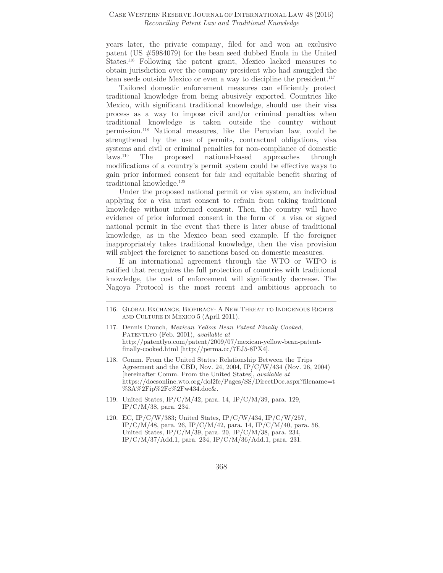years later, the private company, filed for and won an exclusive patent (US #5984079) for the bean seed dubbed Enola in the United States.116 Following the patent grant, Mexico lacked measures to obtain jurisdiction over the company president who had smuggled the bean seeds outside Mexico or even a way to discipline the president.<sup>117</sup>

Tailored domestic enforcement measures can efficiently protect traditional knowledge from being abusively exported. Countries like Mexico, with significant traditional knowledge, should use their visa process as a way to impose civil and/or criminal penalties when traditional knowledge is taken outside the country without permission.118 National measures, like the Peruvian law, could be strengthened by the use of permits, contractual obligations, visa systems and civil or criminal penalties for non-compliance of domestic laws.119 The proposed national-based approaches through modifications of a country's permit system could be effective ways to gain prior informed consent for fair and equitable benefit sharing of traditional knowledge.120

Under the proposed national permit or visa system, an individual applying for a visa must consent to refrain from taking traditional knowledge without informed consent. Then, the country will have evidence of prior informed consent in the form of a visa or signed national permit in the event that there is later abuse of traditional knowledge, as in the Mexico bean seed example. If the foreigner inappropriately takes traditional knowledge, then the visa provision will subject the foreigner to sanctions based on domestic measures.

If an international agreement through the WTO or WIPO is ratified that recognizes the full protection of countries with traditional knowledge, the cost of enforcement will significantly decrease. The Nagoya Protocol is the most recent and ambitious approach to

- 117. Dennis Crouch, *Mexican Yellow Bean Patent Finally Cooked*, PATENTLYO (Feb. 2001), *available at*  http://patentlyo.com/patent/2009/07/mexican-yellow-bean-patentfinally-cooked.html [http://perma.cc/7EJ5-8PX4]*.*
- 118. Comm. From the United States: Relationship Between the Trips Agreement and the CBD, Nov. 24, 2004, IP/C/W/434 (Nov. 26, 2004) [hereinafter Comm. From the United States], *available at*  https://docsonline.wto.org/dol2fe/Pages/SS/DirectDoc.aspx?filename=t %3A%2Fip%2Fc%2Fw434.doc&.
- 119. United States, IP/C/M/42, para. 14, IP/C/M/39, para. 129, IP/C/M/38, para. 234.
- 120. EC, IP/C/W/383; United States, IP/C/W/434, IP/C/W/257, IP/C/M/48, para. 26, IP/C/M/42, para. 14, IP/C/M/40, para. 56, United States, IP/C/M/39, para. 20, IP/C/M/38, para. 234, IP/C/M/37/Add.1, para. 234, IP/C/M/36/Add.1, para. 231.

<sup>116.</sup> GLOBAL EXCHANGE, BIOPIRACY- A NEW THREAT TO INDIGENOUS RIGHTS AND CULTURE IN MEXICO 5 (April 2011).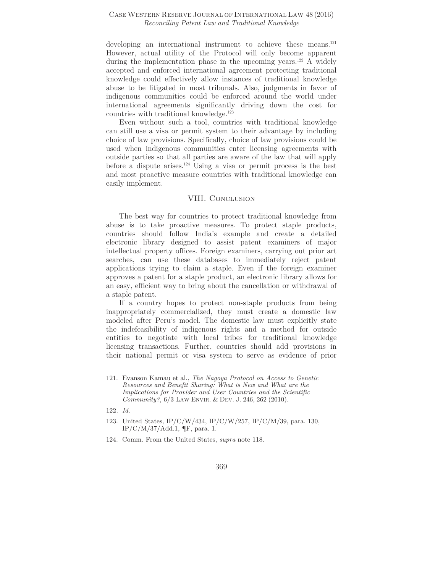developing an international instrument to achieve these means.<sup>121</sup> However, actual utility of the Protocol will only become apparent during the implementation phase in the upcoming years.<sup>122</sup> A widely accepted and enforced international agreement protecting traditional knowledge could effectively allow instances of traditional knowledge abuse to be litigated in most tribunals. Also, judgments in favor of indigenous communities could be enforced around the world under international agreements significantly driving down the cost for countries with traditional knowledge.123

Even without such a tool, countries with traditional knowledge can still use a visa or permit system to their advantage by including choice of law provisions. Specifically, choice of law provisions could be used when indigenous communities enter licensing agreements with outside parties so that all parties are aware of the law that will apply before a dispute arises.<sup>124</sup> Using a visa or permit process is the best and most proactive measure countries with traditional knowledge can easily implement.

#### VIII. CONCLUSION

The best way for countries to protect traditional knowledge from abuse is to take proactive measures. To protect staple products, countries should follow India's example and create a detailed electronic library designed to assist patent examiners of major intellectual property offices. Foreign examiners, carrying out prior art searches, can use these databases to immediately reject patent applications trying to claim a staple. Even if the foreign examiner approves a patent for a staple product, an electronic library allows for an easy, efficient way to bring about the cancellation or withdrawal of a staple patent.

If a country hopes to protect non-staple products from being inappropriately commercialized, they must create a domestic law modeled after Peru's model. The domestic law must explicitly state the indefeasibility of indigenous rights and a method for outside entities to negotiate with local tribes for traditional knowledge licensing transactions. Further, countries should add provisions in their national permit or visa system to serve as evidence of prior

- 123. United States, IP/C/W/434, IP/C/W/257, IP/C/M/39, para. 130,  $IP/C/M/37/Add.1$ ,  $\P$ F, para. 1.
- 124. Comm. From the United States, *supra* note 118.

<sup>121.</sup> Evanson Kamau et al., *The Nagoya Protocol on Access to Genetic Resources and Benefit Sharing: What is New and What are the Implications for Provider and User Countries and the Scientific Community?*, 6/3 LAW ENVIR. & DEV. J. 246, 262 (2010).

<sup>122</sup>*. Id.*